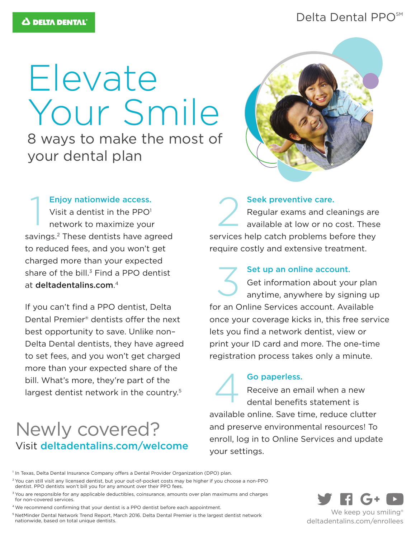## Delta Dental PPO<sup>SM</sup>

# Elevate Your Smile

8 ways to make the most of your dental plan



#### Enjoy nationwide access.

Visit a dentist in the  $PPO<sup>1</sup>$ network to maximize your savings.<sup>2</sup> These dentists have agreed to reduced fees, and you won't get charged more than your expected share of the bill. $3$  Find a PPO dentist at deltadentalins.com. 4 Enjoy nationwide access.<br>Visit a dentist in the PPO<sup>1</sup><br>network to maximize your

If you can't find a PPO dentist, Delta Dental Premier® dentists offer the next best opportunity to save. Unlike non– Delta Dental dentists, they have agreed to set fees, and you won't get charged more than your expected share of the bill. What's more, they're part of the largest dentist network in the country.<sup>5</sup>

# Newly covered? Visit deltadentalins.com/welcome

Seek preventive care. Regular exams and cleanings are available at low or no cost. These services help catch problems before they require costly and extensive treatment.

Set up an online account. Get information about your plan anytime, anywhere by signing up for an Online Services account. Available once your coverage kicks in, this free service lets you find a network dentist, view or print your ID card and more. The one-time registration process takes only a minute. 3

Go paperless.

Receive an email when a new dental benefits statement is available online. Save time, reduce clutter and preserve environmental resources! To enroll, log in to Online Services and update your settings. 4

<sup>1</sup> In Texas, Delta Dental Insurance Company offers a Dental Provider Organization (DPO) plan.

<sup>2</sup> You can still visit any licensed dentist, but your out-of-pocket costs may be higher if you choose a non-PPO dentist. PPO dentists won't bill you for any amount over their PPO fees.

<sup>3</sup> You are responsible for any applicable deductibles, coinsurance, amounts over plan maximums and charges for non-covered services.

<sup>4</sup> We recommend confirming that your dentist is a PPO dentist before each appointment.

5 NetMinder Dental Network Trend Report, March 2016. Delta Dental Premier is the largest dentist network nationwide, based on total unique dentists.



deltadentalins.com/enrollees